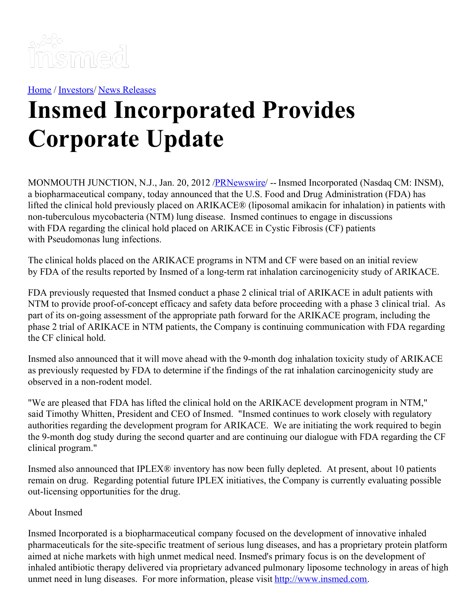

[Home](https://insmed.com/) / [Investors](https://investor.insmed.com/index)/ News [Releases](https://investor.insmed.com/releases)

## **Insmed Incorporated Provides Corporate Update**

MONMOUTH JUNCTION, N.J., Jan. 20, 2012 /**PRNewswire/** -- Insmed Incorporated (Nasdaq CM: INSM), a biopharmaceutical company, today announced that the U.S. Food and Drug Administration (FDA) has lifted the clinical hold previously placed on ARIKACE® (liposomal amikacin for inhalation) in patients with non-tuberculous mycobacteria (NTM) lung disease. Insmed continues to engage in discussions with FDA regarding the clinical hold placed on ARIKACE in Cystic Fibrosis (CF) patients with Pseudomonas lung infections.

The clinical holds placed on the ARIKACE programs in NTM and CF were based on an initial review by FDA of the results reported by Insmed of a long-term rat inhalation carcinogenicity study of ARIKACE.

FDA previously requested that Insmed conduct a phase 2 clinical trial of ARIKACE in adult patients with NTM to provide proof-of-concept efficacy and safety data before proceeding with a phase 3 clinical trial. As part of its on-going assessment of the appropriate path forward for the ARIKACE program, including the phase 2 trial of ARIKACE in NTM patients, the Company is continuing communication with FDA regarding the CF clinical hold.

Insmed also announced that it will move ahead with the 9-month dog inhalation toxicity study of ARIKACE as previously requested by FDA to determine if the findings of the rat inhalation carcinogenicity study are observed in a non-rodent model.

"We are pleased that FDA has lifted the clinical hold on the ARIKACE development program in NTM," said Timothy Whitten, President and CEO of Insmed. "Insmed continues to work closely with regulatory authorities regarding the development program for ARIKACE. We are initiating the work required to begin the 9-month dog study during the second quarter and are continuing our dialogue with FDA regarding the CF clinical program."

Insmed also announced that IPLEX® inventory has now been fully depleted. At present, about 10 patients remain on drug. Regarding potential future IPLEX initiatives, the Company is currently evaluating possible out-licensing opportunities for the drug.

## About Insmed

Insmed Incorporated is a biopharmaceutical company focused on the development of innovative inhaled pharmaceuticals for the site-specific treatment of serious lung diseases, and has a proprietary protein platform aimed at niche markets with high unmet medical need. Insmed's primary focus is on the development of inhaled antibiotic therapy delivered via proprietary advanced pulmonary liposome technology in areas of high unmet need in lung diseases. For more information, please visit [http://www.insmed.com](http://www.insmed.com/).